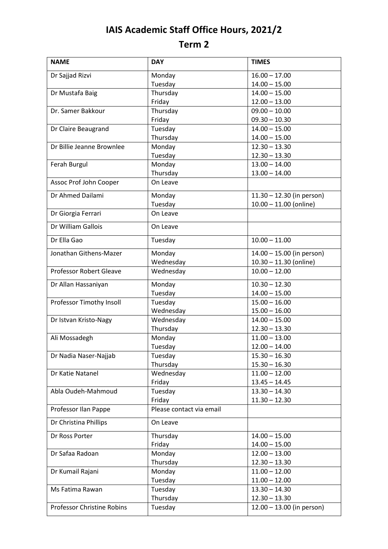## **IAIS Academic Staff Office Hours, 2021/2 Term 2**

| <b>NAME</b>                    | <b>DAY</b>               | <b>TIMES</b>                |
|--------------------------------|--------------------------|-----------------------------|
| Dr Sajjad Rizvi                | Monday                   | $16.00 - 17.00$             |
|                                | Tuesday                  | $14.00 - 15.00$             |
| Dr Mustafa Baig                | Thursday                 | $14.00 - 15.00$             |
|                                | Friday                   | $12.00 - 13.00$             |
| Dr. Samer Bakkour              | Thursday                 | $09.00 - 10.00$             |
|                                | Friday                   | $09.30 - 10.30$             |
| Dr Claire Beaugrand            | Tuesday                  | $14.00 - 15.00$             |
|                                | Thursday                 | $14.00 - 15.00$             |
| Dr Billie Jeanne Brownlee      | Monday                   | $12.30 - 13.30$             |
|                                | Tuesday                  | $12.30 - 13.30$             |
| Ferah Burgul                   | Monday                   | $13.00 - 14.00$             |
|                                | Thursday                 | $13.00 - 14.00$             |
| Assoc Prof John Cooper         | On Leave                 |                             |
| Dr Ahmed Dailami               | Monday                   | $11.30 - 12.30$ (in person) |
|                                | Tuesday                  | $10.00 - 11.00$ (online)    |
| Dr Giorgia Ferrari             | On Leave                 |                             |
| Dr William Gallois             | On Leave                 |                             |
| Dr Ella Gao                    | Tuesday                  | $10.00 - 11.00$             |
| Jonathan Githens-Mazer         | Monday                   | 14.00 - 15.00 (in person)   |
|                                | Wednesday                | $10.30 - 11.30$ (online)    |
| <b>Professor Robert Gleave</b> | Wednesday                | $10.00 - 12.00$             |
| Dr Allan Hassaniyan            | Monday                   | $10.30 - 12.30$             |
|                                | Tuesday                  | $14.00 - 15.00$             |
| Professor Timothy Insoll       | Tuesday                  | $15.00 - 16.00$             |
|                                | Wednesday                | $15.00 - 16.00$             |
| Dr Istvan Kristo-Nagy          | Wednesday                | $14.00 - 15.00$             |
|                                | Thursday                 | $12.30 - 13.30$             |
| Ali Mossadegh                  | Monday                   | $11.00 - 13.00$             |
|                                | Tuesday                  | $12.00 - 14.00$             |
| Dr Nadia Naser-Najjab          | Tuesday                  | $15.30 - 16.30$             |
|                                | Thursday                 | $15.30 - 16.30$             |
| Dr Katie Natanel               | Wednesday                | $11.00 - 12.00$             |
|                                | Friday                   | $13.45 - 14.45$             |
| Abla Oudeh-Mahmoud             | Tuesday                  | $13.30 - 14.30$             |
|                                | Friday                   | $11.30 - 12.30$             |
| Professor Ilan Pappe           | Please contact via email |                             |
| Dr Christina Phillips          | On Leave                 |                             |
| Dr Ross Porter                 | Thursday                 | $14.00 - 15.00$             |
|                                | Friday                   | $14.00 - 15.00$             |
| Dr Safaa Radoan                | Monday                   | $12.00 - 13.00$             |
|                                | Thursday                 | $12.30 - 13.30$             |
| Dr Kumail Rajani               | Monday                   | $11.00 - 12.00$             |
|                                | Tuesday                  | $11.00 - 12.00$             |
| Ms Fatima Rawan                | Tuesday                  | $13.30 - 14.30$             |
|                                | Thursday                 | $12.30 - 13.30$             |
| Professor Christine Robins     | Tuesday                  | $12.00 - 13.00$ (in person) |